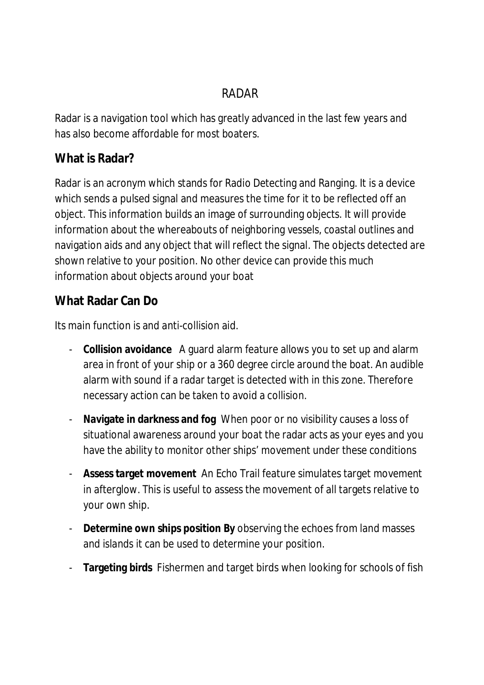# RADAR

Radar is a navigation tool which has greatly advanced in the last few years and has also become affordable for most boaters.

### **What is Radar?**

Radar is an acronym which stands for Radio Detecting and Ranging. It is a device which sends a pulsed signal and measures the time for it to be reflected off an object. This information builds an image of surrounding objects. It will provide information about the whereabouts of neighboring vessels, coastal outlines and navigation aids and any object that will reflect the signal. The objects detected are shown relative to your position. No other device can provide this much information about objects around your boat

#### **What Radar Can Do**

Its main function is and anti-collision aid.

- **Collision avoidance** A guard alarm feature allows you to set up and alarm area in front of your ship or a 360 degree circle around the boat. An audible alarm with sound if a radar target is detected with in this zone. Therefore necessary action can be taken to avoid a collision.
- **Navigate in darkness and fog** When poor or no visibility causes a loss of situational awareness around your boat the radar acts as your eyes and you have the ability to monitor other ships' movement under these conditions
- **Assess target movement** An Echo Trail feature simulates target movement in afterglow. This is useful to assess the movement of all targets relative to your own ship.
- **Determine own ships position By** observing the echoes from land masses and islands it can be used to determine your position.
- **Targeting birds** Fishermen and target birds when looking for schools of fish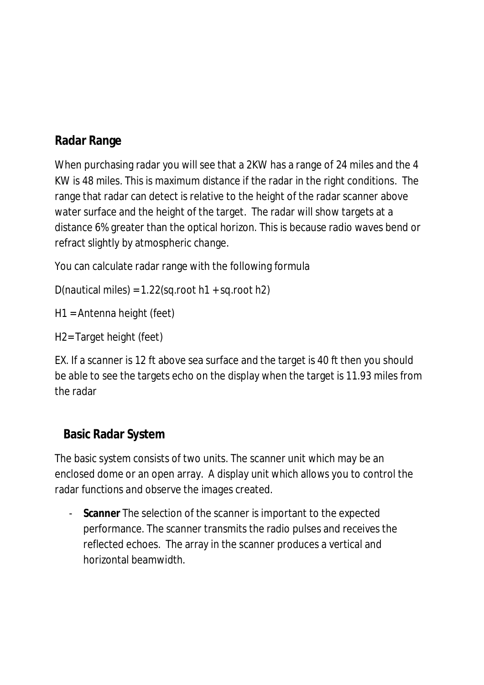# **Radar Range**

When purchasing radar you will see that a 2KW has a range of 24 miles and the 4 KW is 48 miles. This is maximum distance if the radar in the right conditions. The range that radar can detect is relative to the height of the radar scanner above water surface and the height of the target. The radar will show targets at a distance 6% greater than the optical horizon. This is because radio waves bend or refract slightly by atmospheric change.

You can calculate radar range with the following formula

D(nautical miles) =  $1.22$ (sq.root h $1 +$ sq.root h $2$ )

H1 = Antenna height (feet)

H2= Target height (feet)

EX. If a scanner is 12 ft above sea surface and the target is 40 ft then you should be able to see the targets echo on the display when the target is 11.93 miles from the radar

#### **Basic Radar System**

The basic system consists of two units. The scanner unit which may be an enclosed dome or an open array. A display unit which allows you to control the radar functions and observe the images created.

- **Scanner** The selection of the scanner is important to the expected performance. The scanner transmits the radio pulses and receives the reflected echoes. The array in the scanner produces a vertical and horizontal beamwidth.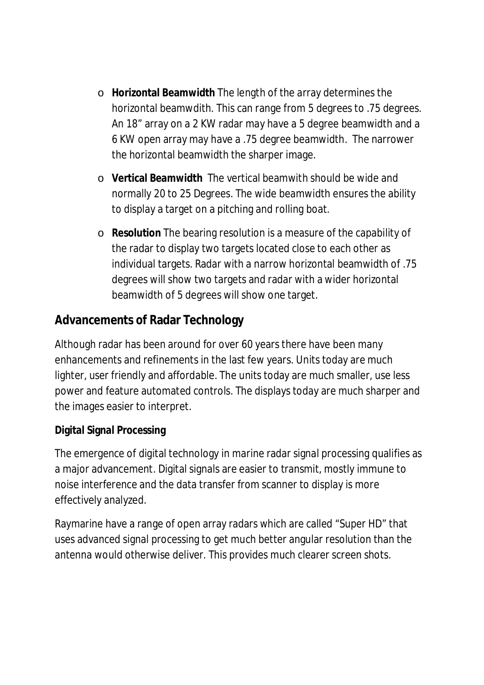- o **Horizontal Beamwidth** The length of the array determines the horizontal beamwdith. This can range from 5 degrees to .75 degrees. An 18" array on a 2 KW radar may have a 5 degree beamwidth and a 6 KW open array may have a .75 degree beamwidth. The narrower the horizontal beamwidth the sharper image.
- o **Vertical Beamwidth** The vertical beamwith should be wide and normally 20 to 25 Degrees. The wide beamwidth ensures the ability to display a target on a pitching and rolling boat.
- o **Resolution** The bearing resolution is a measure of the capability of the radar to display two targets located close to each other as individual targets. Radar with a narrow horizontal beamwidth of .75 degrees will show two targets and radar with a wider horizontal beamwidth of 5 degrees will show one target.

# **Advancements of Radar Technology**

Although radar has been around for over 60 years there have been many enhancements and refinements in the last few years. Units today are much lighter, user friendly and affordable. The units today are much smaller, use less power and feature automated controls. The displays today are much sharper and the images easier to interpret.

#### **Digital Signal Processing**

The emergence of digital technology in marine radar signal processing qualifies as a major advancement. Digital signals are easier to transmit, mostly immune to noise interference and the data transfer from scanner to display is more effectively analyzed.

Raymarine have a range of open array radars which are called "Super HD" that uses advanced signal processing to get much better angular resolution than the antenna would otherwise deliver. This provides much clearer screen shots.